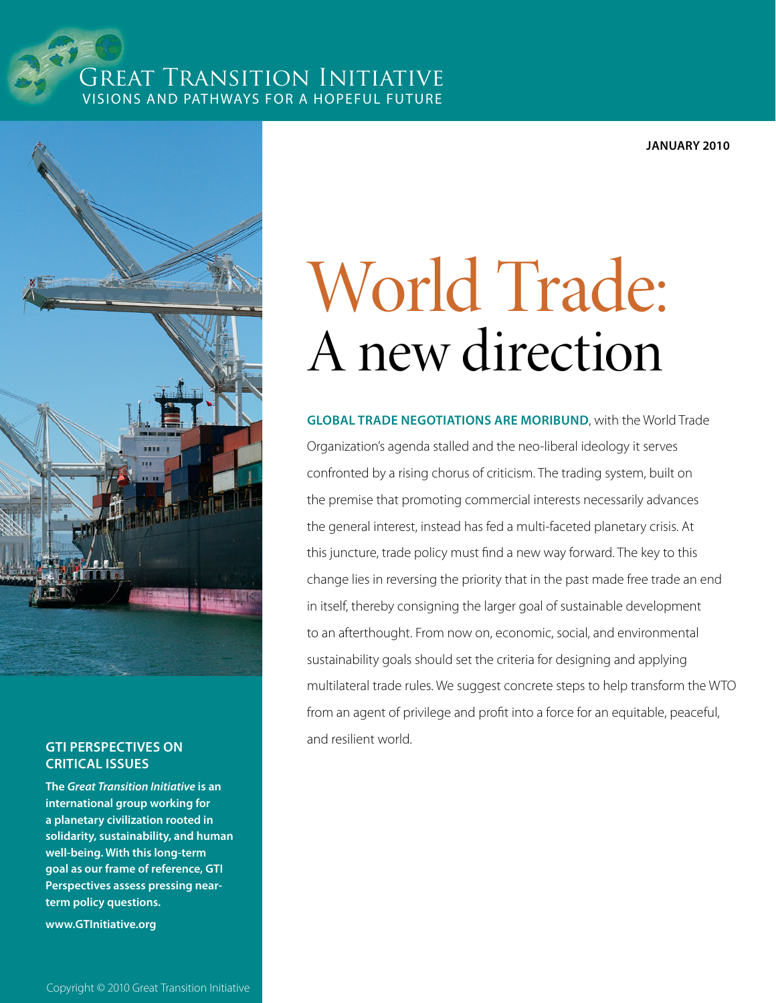### Great Transition Initiative Visions and Pathways for a Hopeful Future

**January 2010**



## **Critical Issues**

**The** *[Great Transition Initiative](http://www.GTInitiative.org)* **is an international group working for a planetary civilization rooted in solidarity, sustainability, and human well-being. With this long-term goal as our frame of reference, GTI Perspectives assess pressing nearterm policy questions.**

**[www.GTInitiative.org](http://www.GTInitiative.org)**

# World Trade: A new direction

**Global Trade Negotiations are Moribund**, with the World Trade Organization's agenda stalled and the neo-liberal ideology it serves confronted by a rising chorus of criticism. The trading system, built on the premise that promoting commercial interests necessarily advances the general interest, instead has fed a multi-faceted planetary crisis. At this juncture, trade policy must find a new way forward. The key to this change lies in reversing the priority that in the past made free trade an end in itself, thereby consigning the larger goal of sustainable development to an afterthought. From now on, economic, social, and environmental sustainability goals should set the criteria for designing and applying multilateral trade rules. We suggest concrete steps to help transform the WTO from an agent of privilege and profit into a force for an equitable, peaceful, and resilient world. **GTI Perspectives on**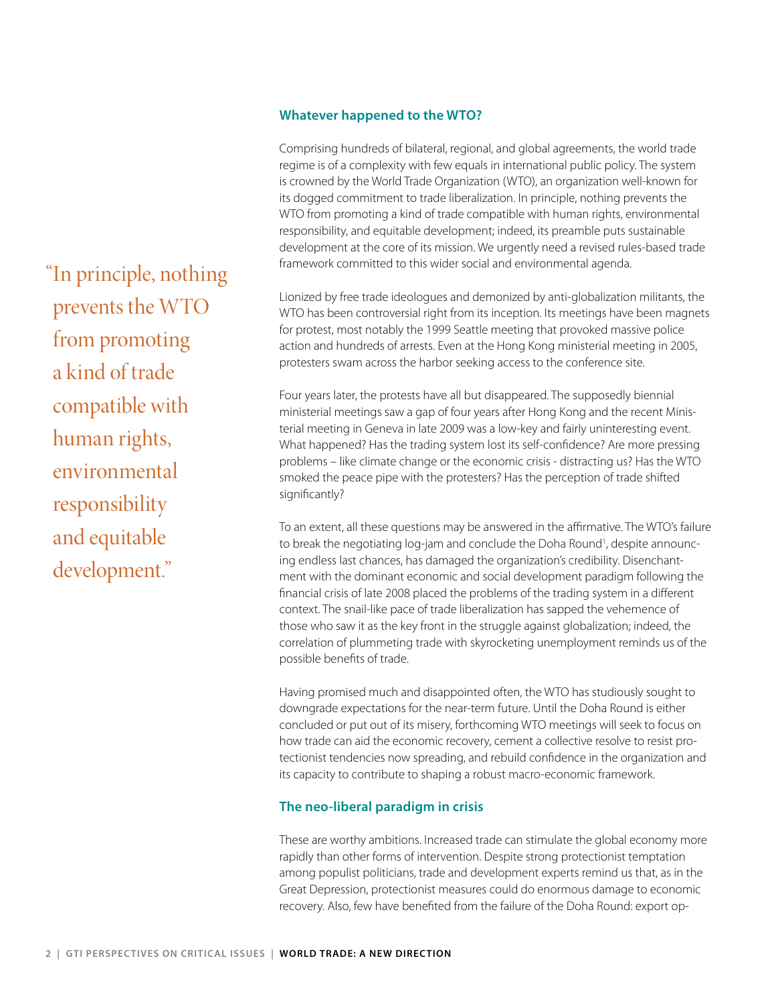#### **Whatever happened to the WTO?**

Comprising hundreds of bilateral, regional, and global agreements, the world trade regime is of a complexity with few equals in international public policy. The system is crowned by the World Trade Organization (WTO), an organization well-known for its dogged commitment to trade liberalization. In principle, nothing prevents the WTO from promoting a kind of trade compatible with human rights, environmental responsibility, and equitable development; indeed, its preamble puts sustainable development at the core of its mission. We urgently need a revised rules-based trade framework committed to this wider social and environmental agenda.

Lionized by free trade ideologues and demonized by anti-globalization militants, the WTO has been controversial right from its inception. Its meetings have been magnets for protest, most notably the 1999 Seattle meeting that provoked massive police action and hundreds of arrests. Even at the Hong Kong ministerial meeting in 2005, protesters swam across the harbor seeking access to the conference site.

Four years later, the protests have all but disappeared. The supposedly biennial ministerial meetings saw a gap of four years after Hong Kong and the recent Ministerial meeting in Geneva in late 2009 was a low-key and fairly uninteresting event. What happened? Has the trading system lost its self-confidence? Are more pressing problems – like climate change or the economic crisis - distracting us? Has the WTO smoked the peace pipe with the protesters? Has the perception of trade shifted significantly?

To an extent, all these questions may be answered in the affirmative. The WTO's failure to break the negotiating log-jam and conclude the Doha Round<sup>1</sup>, despite announcing endless last chances, has damaged the organization's credibility. Disenchantment with the dominant economic and social development paradigm following the financial crisis of late 2008 placed the problems of the trading system in a different context. The snail-like pace of trade liberalization has sapped the vehemence of those who saw it as the key front in the struggle against globalization; indeed, the correlation of plummeting trade with skyrocketing unemployment reminds us of the possible benefits of trade.

Having promised much and disappointed often, the WTO has studiously sought to downgrade expectations for the near-term future. Until the Doha Round is either concluded or put out of its misery, forthcoming WTO meetings will seek to focus on how trade can aid the economic recovery, cement a collective resolve to resist protectionist tendencies now spreading, and rebuild confidence in the organization and its capacity to contribute to shaping a robust macro-economic framework.

#### **The neo-liberal paradigm in crisis**

These are worthy ambitions. Increased trade can stimulate the global economy more rapidly than other forms of intervention. Despite strong protectionist temptation among populist politicians, trade and development experts remind us that, as in the Great Depression, protectionist measures could do enormous damage to economic recovery. Also, few have benefited from the failure of the Doha Round: export op-

"In principle, nothing prevents the WTO from promoting a kind of trade compatible with human rights, environmental responsibility and equitable development."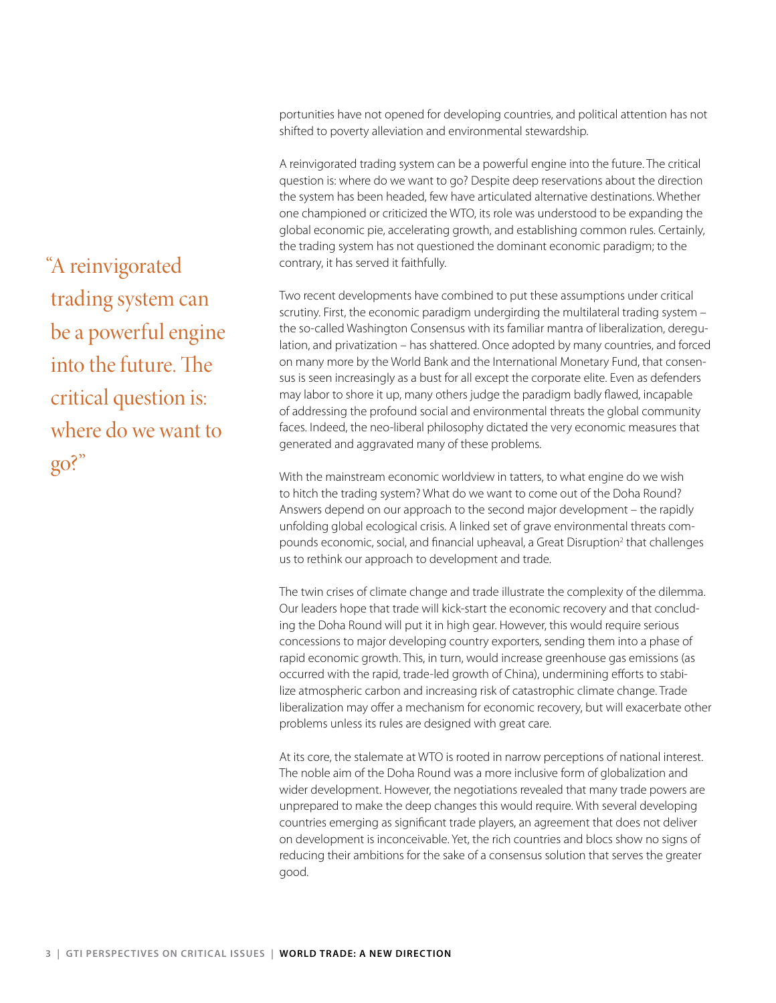portunities have not opened for developing countries, and political attention has not shifted to poverty alleviation and environmental stewardship.

A reinvigorated trading system can be a powerful engine into the future. The critical question is: where do we want to go? Despite deep reservations about the direction the system has been headed, few have articulated alternative destinations. Whether one championed or criticized the WTO, its role was understood to be expanding the global economic pie, accelerating growth, and establishing common rules. Certainly, the trading system has not questioned the dominant economic paradigm; to the contrary, it has served it faithfully.

Two recent developments have combined to put these assumptions under critical scrutiny. First, the economic paradigm undergirding the multilateral trading system – the so-called Washington Consensus with its familiar mantra of liberalization, deregulation, and privatization – has shattered. Once adopted by many countries, and forced on many more by the World Bank and the International Monetary Fund, that consensus is seen increasingly as a bust for all except the corporate elite. Even as defenders may labor to shore it up, many others judge the paradigm badly flawed, incapable of addressing the profound social and environmental threats the global community faces. Indeed, the neo-liberal philosophy dictated the very economic measures that generated and aggravated many of these problems.

With the mainstream economic worldview in tatters, to what engine do we wish to hitch the trading system? What do we want to come out of the Doha Round? Answers depend on our approach to the second major development – the rapidly unfolding global ecological crisis. A linked set of grave environmental threats compounds economic, social, and financial upheaval, a Great Disruption<sup>2</sup> that challenges us to rethink our approach to development and trade.

The twin crises of climate change and trade illustrate the complexity of the dilemma. Our leaders hope that trade will kick-start the economic recovery and that concluding the Doha Round will put it in high gear. However, this would require serious concessions to major developing country exporters, sending them into a phase of rapid economic growth. This, in turn, would increase greenhouse gas emissions (as occurred with the rapid, trade-led growth of China), undermining efforts to stabilize atmospheric carbon and increasing risk of catastrophic climate change. Trade liberalization may offer a mechanism for economic recovery, but will exacerbate other problems unless its rules are designed with great care.

At its core, the stalemate at WTO is rooted in narrow perceptions of national interest. The noble aim of the Doha Round was a more inclusive form of globalization and wider development. However, the negotiations revealed that many trade powers are unprepared to make the deep changes this would require. With several developing countries emerging as significant trade players, an agreement that does not deliver on development is inconceivable. Yet, the rich countries and blocs show no signs of reducing their ambitions for the sake of a consensus solution that serves the greater good.

"A reinvigorated trading system can be a powerful engine into the future. The critical question is: where do we want to go?"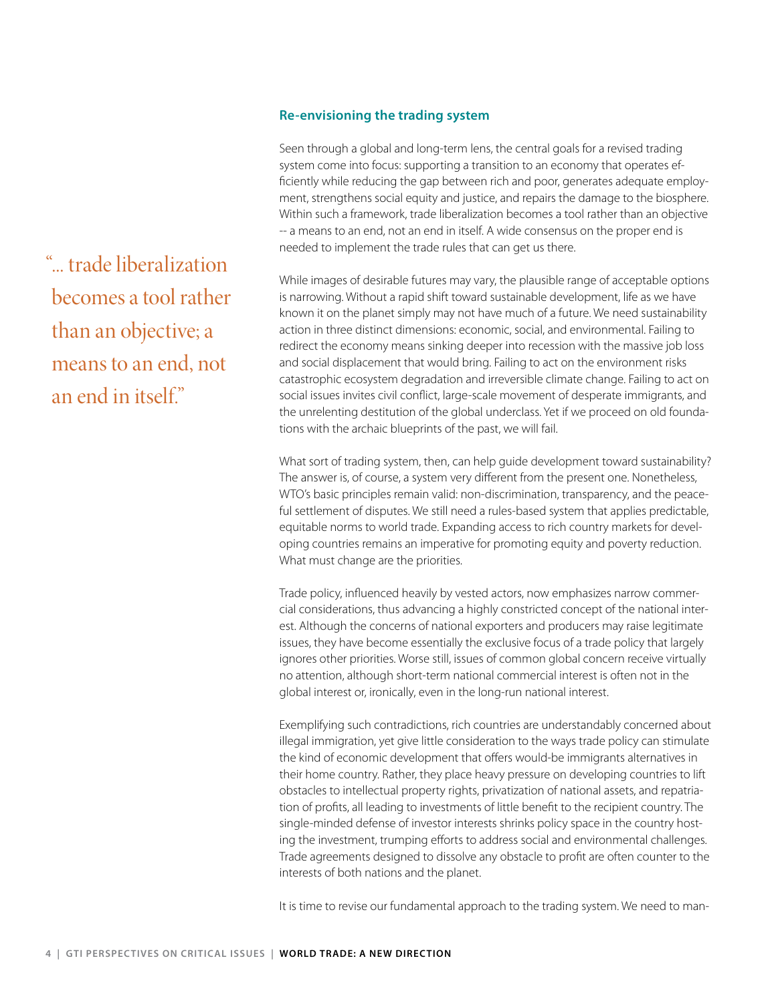#### **Re-envisioning the trading system**

Seen through a global and long-term lens, the central goals for a revised trading system come into focus: supporting a transition to an economy that operates efficiently while reducing the gap between rich and poor, generates adequate employment, strengthens social equity and justice, and repairs the damage to the biosphere. Within such a framework, trade liberalization becomes a tool rather than an objective -- a means to an end, not an end in itself. A wide consensus on the proper end is needed to implement the trade rules that can get us there.

While images of desirable futures may vary, the plausible range of acceptable options is narrowing. Without a rapid shift toward sustainable development, life as we have known it on the planet simply may not have much of a future. We need sustainability action in three distinct dimensions: economic, social, and environmental. Failing to redirect the economy means sinking deeper into recession with the massive job loss and social displacement that would bring. Failing to act on the environment risks catastrophic ecosystem degradation and irreversible climate change. Failing to act on social issues invites civil conflict, large-scale movement of desperate immigrants, and the unrelenting destitution of the global underclass. Yet if we proceed on old foundations with the archaic blueprints of the past, we will fail.

What sort of trading system, then, can help guide development toward sustainability? The answer is, of course, a system very different from the present one. Nonetheless, WTO's basic principles remain valid: non-discrimination, transparency, and the peaceful settlement of disputes. We still need a rules-based system that applies predictable, equitable norms to world trade. Expanding access to rich country markets for developing countries remains an imperative for promoting equity and poverty reduction. What must change are the priorities.

Trade policy, influenced heavily by vested actors, now emphasizes narrow commercial considerations, thus advancing a highly constricted concept of the national interest. Although the concerns of national exporters and producers may raise legitimate issues, they have become essentially the exclusive focus of a trade policy that largely ignores other priorities. Worse still, issues of common global concern receive virtually no attention, although short-term national commercial interest is often not in the global interest or, ironically, even in the long-run national interest.

Exemplifying such contradictions, rich countries are understandably concerned about illegal immigration, yet give little consideration to the ways trade policy can stimulate the kind of economic development that offers would-be immigrants alternatives in their home country. Rather, they place heavy pressure on developing countries to lift obstacles to intellectual property rights, privatization of national assets, and repatriation of profits, all leading to investments of little benefit to the recipient country. The single-minded defense of investor interests shrinks policy space in the country hosting the investment, trumping efforts to address social and environmental challenges. Trade agreements designed to dissolve any obstacle to profit are often counter to the interests of both nations and the planet.

It is time to revise our fundamental approach to the trading system. We need to man-

"... trade liberalization becomes a tool rather than an objective; a means to an end, not an end in itself"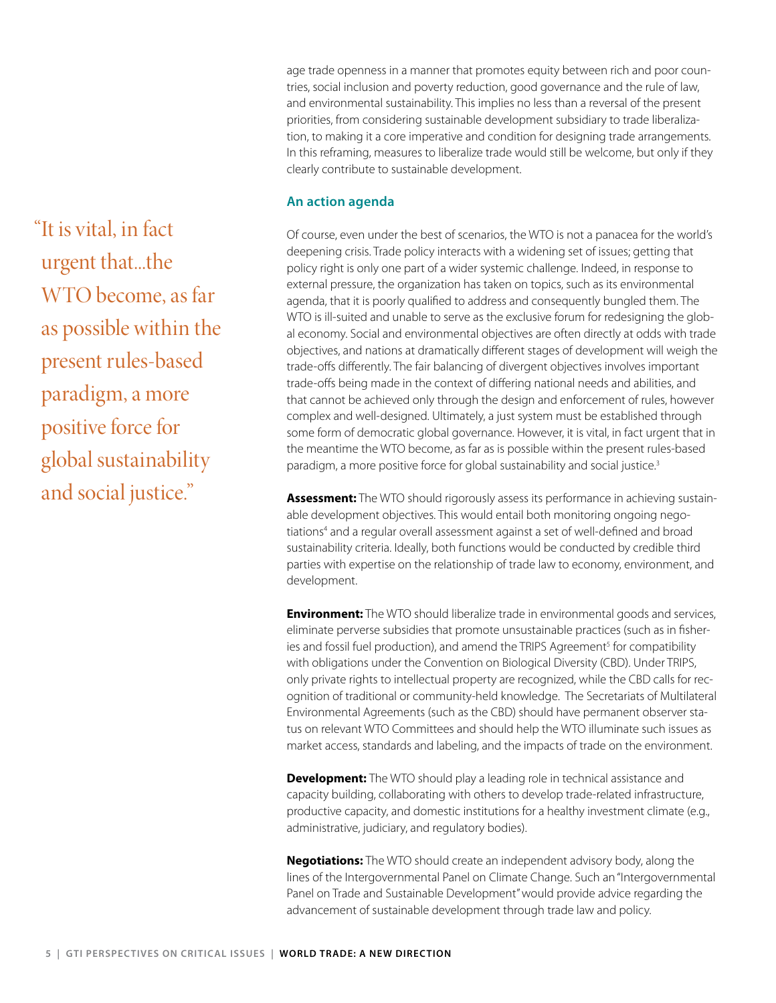age trade openness in a manner that promotes equity between rich and poor countries, social inclusion and poverty reduction, good governance and the rule of law, and environmental sustainability. This implies no less than a reversal of the present priorities, from considering sustainable development subsidiary to trade liberalization, to making it a core imperative and condition for designing trade arrangements. In this reframing, measures to liberalize trade would still be welcome, but only if they clearly contribute to sustainable development.

#### **An action agenda**

Of course, even under the best of scenarios, the WTO is not a panacea for the world's deepening crisis. Trade policy interacts with a widening set of issues; getting that policy right is only one part of a wider systemic challenge. Indeed, in response to external pressure, the organization has taken on topics, such as its environmental agenda, that it is poorly qualified to address and consequently bungled them. The WTO is ill-suited and unable to serve as the exclusive forum for redesigning the global economy. Social and environmental objectives are often directly at odds with trade objectives, and nations at dramatically different stages of development will weigh the trade-offs differently. The fair balancing of divergent objectives involves important trade-offs being made in the context of differing national needs and abilities, and that cannot be achieved only through the design and enforcement of rules, however complex and well-designed. Ultimately, a just system must be established through some form of democratic global governance. However, it is vital, in fact urgent that in the meantime the WTO become, as far as is possible within the present rules-based paradigm, a more positive force for global sustainability and social justice.<sup>3</sup>

**Assessment:** The WTO should rigorously assess its performance in achieving sustainable development objectives. This would entail both monitoring ongoing negotiations<sup>4</sup> and a regular overall assessment against a set of well-defined and broad sustainability criteria. Ideally, both functions would be conducted by credible third parties with expertise on the relationship of trade law to economy, environment, and development.

**Environment:** The WTO should liberalize trade in environmental goods and services, eliminate perverse subsidies that promote unsustainable practices (such as in fisheries and fossil fuel production), and amend the TRIPS Agreement<sup>5</sup> for compatibility with obligations under the Convention on Biological Diversity (CBD). Under TRIPS, only private rights to intellectual property are recognized, while the CBD calls for recognition of traditional or community-held knowledge. The Secretariats of Multilateral Environmental Agreements (such as the CBD) should have permanent observer status on relevant WTO Committees and should help the WTO illuminate such issues as market access, standards and labeling, and the impacts of trade on the environment.

**Development:** The WTO should play a leading role in technical assistance and capacity building, collaborating with others to develop trade-related infrastructure, productive capacity, and domestic institutions for a healthy investment climate (e.g., administrative, judiciary, and regulatory bodies).

**Negotiations:** The WTO should create an independent advisory body, along the lines of the Intergovernmental Panel on Climate Change. Such an "Intergovernmental Panel on Trade and Sustainable Development" would provide advice regarding the advancement of sustainable development through trade law and policy.

"It is vital, in fact urgent that...the WTO become, as far as possible within the present rules-based paradigm, a more positive force for global sustainability and social justice."